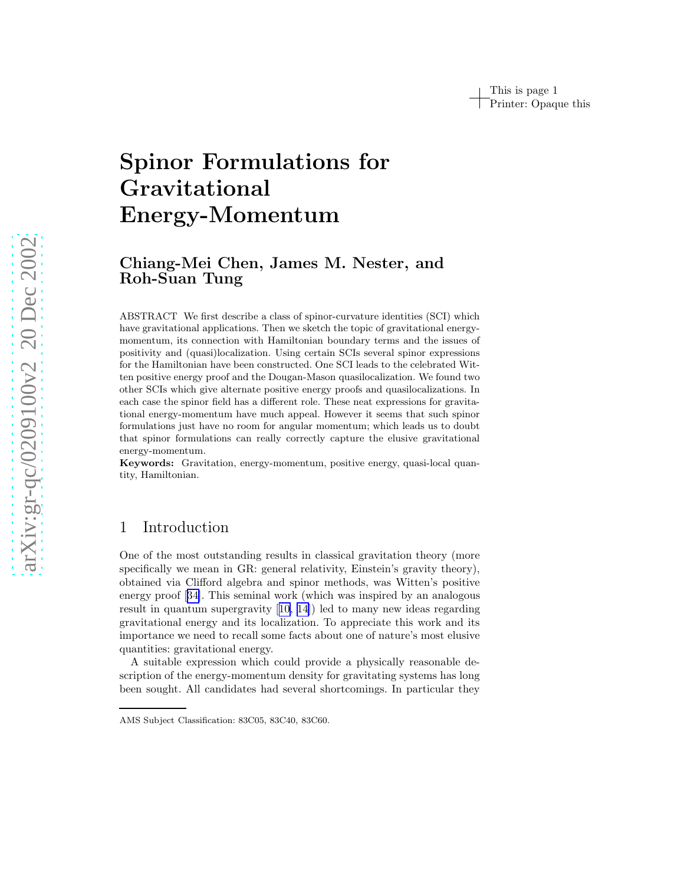# Spinor Formulations for Gravitational Energy-Momentum

# Chiang-Mei Chen, James M. Nester, and Roh-Suan Tung

ABSTRACT We first describe a class of spinor-curvature identities (SCI) which have gravitational applications. Then we sketch the topic of gravitational energymomentum, its connection with Hamiltonian boundary terms and the issues of positivity and (quasi)localization. Using certain SCIs several spinor expressions for the Hamiltonian have been constructed. One SCI leads to the celebrated Witten positive energy proof and the Dougan-Mason quasilocalization. We found two other SCIs which give alternate positive energy proofs and quasilocalizations. In each case the spinor field has a different role. These neat expressions for gravitational energy-momentum have much appeal. However it seems that such spinor formulations just have no room for angular momentum; which leads us to doubt that spinor formulations can really correctly capture the elusive gravitational energy-momentum.

Keywords: Gravitation, energy-momentum, positive energy, quasi-local quantity, Hamiltonian.

# 1 Introduction

One of the most outstanding results in classical gravitation theory (more specifically we mean in GR: general relativity, Einstein's gravity theory), obtained via Clifford algebra and spinor methods, was Witten's positive energy proof[[34\]](#page-13-0). This seminal work (which was inspired by an analogous result in quantum supergravity[[10, 14\]](#page-12-0)) led to many new ideas regarding gravitational energy and its localization. To appreciate this work and its importance we need to recall some facts about one of nature's most elusive quantities: gravitational energy.

A suitable expression which could provide a physically reasonable description of the energy-momentum density for gravitating systems has long been sought. All candidates had several shortcomings. In particular they

AMS Subject Classification: 83C05, 83C40, 83C60.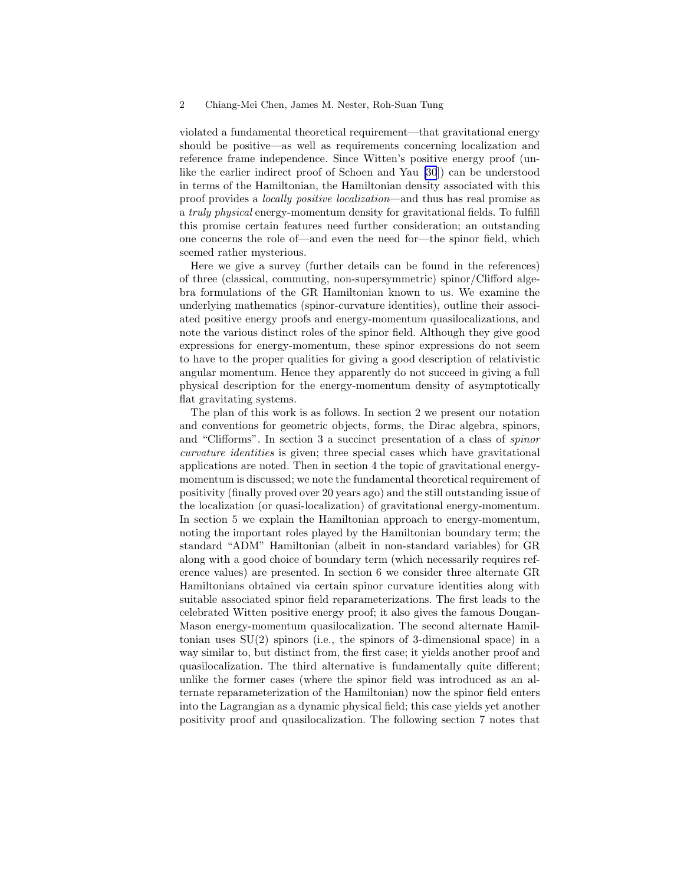violated a fundamental theoretical requirement—that gravitational energy should be positive—as well as requirements concerning localization and reference frame independence. Since Witten's positive energy proof (unlike the earlier indirect proof of Schoen and Yau [\[30](#page-13-0)]) can be understood in terms of the Hamiltonian, the Hamiltonian density associated with this proof provides a locally positive localization—and thus has real promise as a truly physical energy-momentum density for gravitational fields. To fulfill this promise certain features need further consideration; an outstanding one concerns the role of—and even the need for—the spinor field, which seemed rather mysterious.

Here we give a survey (further details can be found in the references) of three (classical, commuting, non-supersymmetric) spinor/Clifford algebra formulations of the GR Hamiltonian known to us. We examine the underlying mathematics (spinor-curvature identities), outline their associated positive energy proofs and energy-momentum quasilocalizations, and note the various distinct roles of the spinor field. Although they give good expressions for energy-momentum, these spinor expressions do not seem to have to the proper qualities for giving a good description of relativistic angular momentum. Hence they apparently do not succeed in giving a full physical description for the energy-momentum density of asymptotically flat gravitating systems.

The plan of this work is as follows. In section 2 we present our notation and conventions for geometric objects, forms, the Dirac algebra, spinors, and "Clifforms". In section 3 a succinct presentation of a class of spinor curvature identities is given; three special cases which have gravitational applications are noted. Then in section 4 the topic of gravitational energymomentum is discussed; we note the fundamental theoretical requirement of positivity (finally proved over 20 years ago) and the still outstanding issue of the localization (or quasi-localization) of gravitational energy-momentum. In section 5 we explain the Hamiltonian approach to energy-momentum, noting the important roles played by the Hamiltonian boundary term; the standard "ADM" Hamiltonian (albeit in non-standard variables) for GR along with a good choice of boundary term (which necessarily requires reference values) are presented. In section 6 we consider three alternate GR Hamiltonians obtained via certain spinor curvature identities along with suitable associated spinor field reparameterizations. The first leads to the celebrated Witten positive energy proof; it also gives the famous Dougan-Mason energy-momentum quasilocalization. The second alternate Hamiltonian uses  $SU(2)$  spinors (i.e., the spinors of 3-dimensional space) in a way similar to, but distinct from, the first case; it yields another proof and quasilocalization. The third alternative is fundamentally quite different; unlike the former cases (where the spinor field was introduced as an alternate reparameterization of the Hamiltonian) now the spinor field enters into the Lagrangian as a dynamic physical field; this case yields yet another positivity proof and quasilocalization. The following section 7 notes that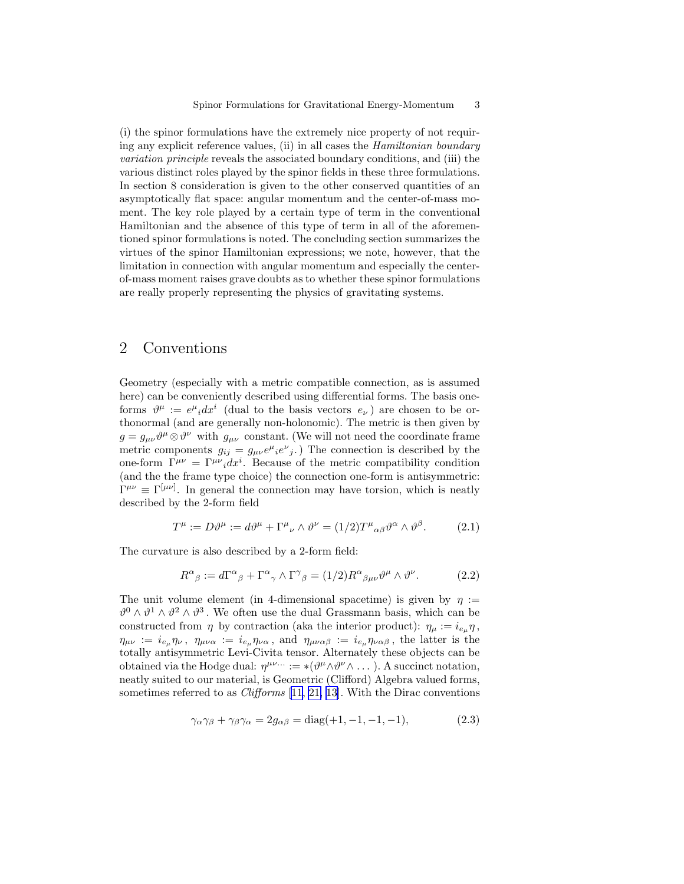(i) the spinor formulations have the extremely nice property of not requiring any explicit reference values, (ii) in all cases the Hamiltonian boundary variation principle reveals the associated boundary conditions, and (iii) the various distinct roles played by the spinor fields in these three formulations. In section 8 consideration is given to the other conserved quantities of an asymptotically flat space: angular momentum and the center-of-mass moment. The key role played by a certain type of term in the conventional Hamiltonian and the absence of this type of term in all of the aforementioned spinor formulations is noted. The concluding section summarizes the virtues of the spinor Hamiltonian expressions; we note, however, that the limitation in connection with angular momentum and especially the centerof-mass moment raises grave doubts as to whether these spinor formulations are really properly representing the physics of gravitating systems.

## 2 Conventions

Geometry (especially with a metric compatible connection, as is assumed here) can be conveniently described using differential forms. The basis oneforms  $\vartheta^{\mu} := e^{\mu}{}_i dx^i$  (dual to the basis vectors  $e_{\nu}$ ) are chosen to be orthonormal (and are generally non-holonomic). The metric is then given by  $g = g_{\mu\nu}\partial^{\mu}\otimes \partial^{\nu}$  with  $g_{\mu\nu}$  constant. (We will not need the coordinate frame metric components  $g_{ij} = g_{\mu\nu} e^{\mu} i e^{\nu} j$ . The connection is described by the one-form  $\Gamma^{\mu\nu} = \Gamma^{\mu\nu}{}_i dx^i$ . Because of the metric compatibility condition (and the the frame type choice) the connection one-form is antisymmetric:  $\Gamma^{\mu\nu} \equiv \Gamma^{[\mu\nu]}$ . In general the connection may have torsion, which is neatly described by the 2-form field

$$
T^{\mu} := D\vartheta^{\mu} := d\vartheta^{\mu} + \Gamma^{\mu}{}_{\nu} \wedge \vartheta^{\nu} = (1/2)T^{\mu}{}_{\alpha\beta}\vartheta^{\alpha} \wedge \vartheta^{\beta}.
$$
 (2.1)

The curvature is also described by a 2-form field:

$$
R^{\alpha}{}_{\beta} := d\Gamma^{\alpha}{}_{\beta} + \Gamma^{\alpha}{}_{\gamma} \wedge \Gamma^{\gamma}{}_{\beta} = (1/2)R^{\alpha}{}_{\beta\mu\nu}\vartheta^{\mu} \wedge \vartheta^{\nu}.
$$
 (2.2)

The unit volume element (in 4-dimensional spacetime) is given by  $\eta :=$  $\vartheta^0 \wedge \vartheta^1 \wedge \vartheta^2 \wedge \vartheta^3$ . We often use the dual Grassmann basis, which can be constructed from  $\eta$  by contraction (aka the interior product):  $\eta_{\mu} := i_{e_{\mu}} \eta$ ,  $\eta_{\mu\nu} := i_{e_\mu} \eta_\nu, \ \eta_{\mu\nu\alpha} := i_{e_\mu} \eta_{\nu\alpha}, \text{ and } \eta_{\mu\nu\alpha\beta} := i_{e_\mu} \eta_{\nu\alpha\beta}, \text{ the latter is the}$ totally antisymmetric Levi-Civita tensor. Alternately these objects can be obtained via the Hodge dual:  $\eta^{\mu\nu\dots} := *(\vartheta^{\mu} \wedge \vartheta^{\nu} \wedge \dots)$ . A succinct notation, neatly suited to our material, is Geometric (Clifford) Algebra valued forms, sometimes referred to as *Clifforms* [[11,](#page-12-0) [21,](#page-13-0) [13](#page-12-0)]. With the Dirac conventions

$$
\gamma_{\alpha}\gamma_{\beta} + \gamma_{\beta}\gamma_{\alpha} = 2g_{\alpha\beta} = \text{diag}(+1, -1, -1, -1),\tag{2.3}
$$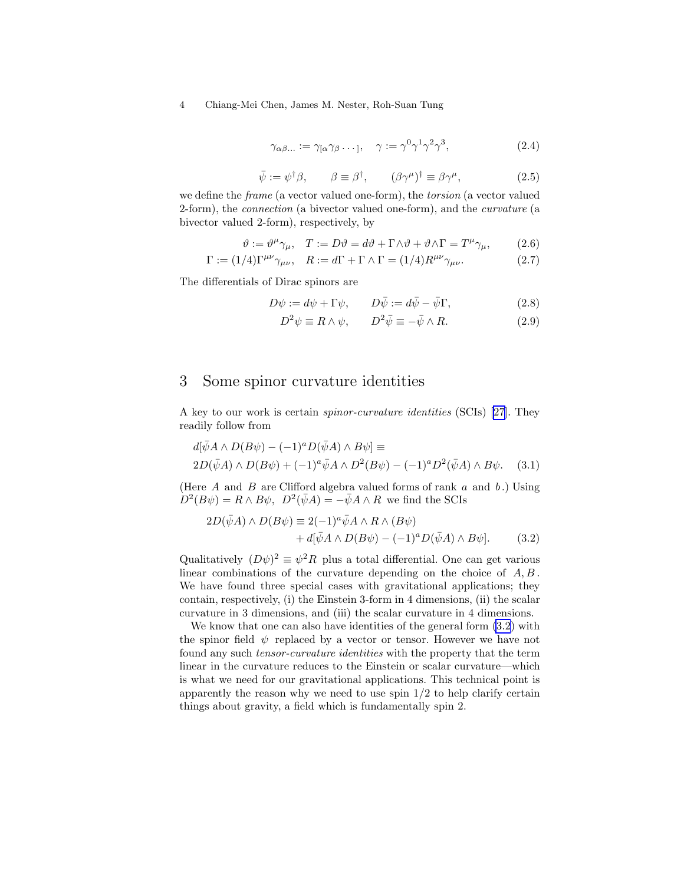$$
\gamma_{\alpha\beta\ldots} := \gamma_{\alpha\gamma\beta} \ldots, \quad \gamma := \gamma^0 \gamma^1 \gamma^2 \gamma^3,\tag{2.4}
$$

$$
\bar{\psi} := \psi^{\dagger} \beta, \qquad \beta \equiv \beta^{\dagger}, \qquad (\beta \gamma^{\mu})^{\dagger} \equiv \beta \gamma^{\mu}, \tag{2.5}
$$

<span id="page-3-0"></span>we define the frame (a vector valued one-form), the torsion (a vector valued 2-form), the connection (a bivector valued one-form), and the curvature (a bivector valued 2-form), respectively, by

$$
\vartheta := \vartheta^{\mu} \gamma_{\mu}, \quad T := D\vartheta = d\vartheta + \Gamma \wedge \vartheta + \vartheta \wedge \Gamma = T^{\mu} \gamma_{\mu}, \tag{2.6}
$$

$$
\Gamma := (1/4)\Gamma^{\mu\nu}\gamma_{\mu\nu}, \quad R := d\Gamma + \Gamma \wedge \Gamma = (1/4)R^{\mu\nu}\gamma_{\mu\nu}.
$$
 (2.7)

The differentials of Dirac spinors are

$$
D\psi := d\psi + \Gamma \psi, \qquad D\bar{\psi} := d\bar{\psi} - \bar{\psi}\Gamma, \tag{2.8}
$$

$$
D^2 \psi \equiv R \wedge \psi, \qquad D^2 \bar{\psi} \equiv -\bar{\psi} \wedge R. \tag{2.9}
$$

### 3 Some spinor curvature identities

A key to our work is certain spinor-curvature identities (SCIs)[[27\]](#page-13-0). They readily follow from

$$
d[\bar{\psi}A \wedge D(B\psi) - (-1)^a D(\bar{\psi}A) \wedge B\psi] \equiv
$$
  
2D(\bar{\psi}A) \wedge D(B\psi) + (-1)^a \bar{\psi}A \wedge D^2(B\psi) - (-1)^a D^2(\bar{\psi}A) \wedge B\psi. (3.1)

(Here  $A$  and  $B$  are Clifford algebra valued forms of rank  $a$  and  $b$ .) Using  $D^2(B\psi) = R \wedge B\psi$ ,  $D^2(\bar{\psi}A) = -\bar{\psi}A \wedge R$  we find the SCIs

$$
2D(\bar{\psi}A) \wedge D(B\psi) \equiv 2(-1)^{a} \bar{\psi}A \wedge R \wedge (B\psi)
$$
  
+  $d[\bar{\psi}A \wedge D(B\psi) - (-1)^{a}D(\bar{\psi}A) \wedge B\psi].$  (3.2)

Qualitatively  $(D\psi)^2 \equiv \psi^2 R$  plus a total differential. One can get various linear combinations of the curvature depending on the choice of  $A, B$ . We have found three special cases with gravitational applications; they contain, respectively, (i) the Einstein 3-form in 4 dimensions, (ii) the scalar curvature in 3 dimensions, and (iii) the scalar curvature in 4 dimensions.

We know that one can also have identities of the general form (3.2) with the spinor field  $\psi$  replaced by a vector or tensor. However we have not found any such tensor-curvature identities with the property that the term linear in the curvature reduces to the Einstein or scalar curvature—which is what we need for our gravitational applications. This technical point is apparently the reason why we need to use spin  $1/2$  to help clarify certain things about gravity, a field which is fundamentally spin 2.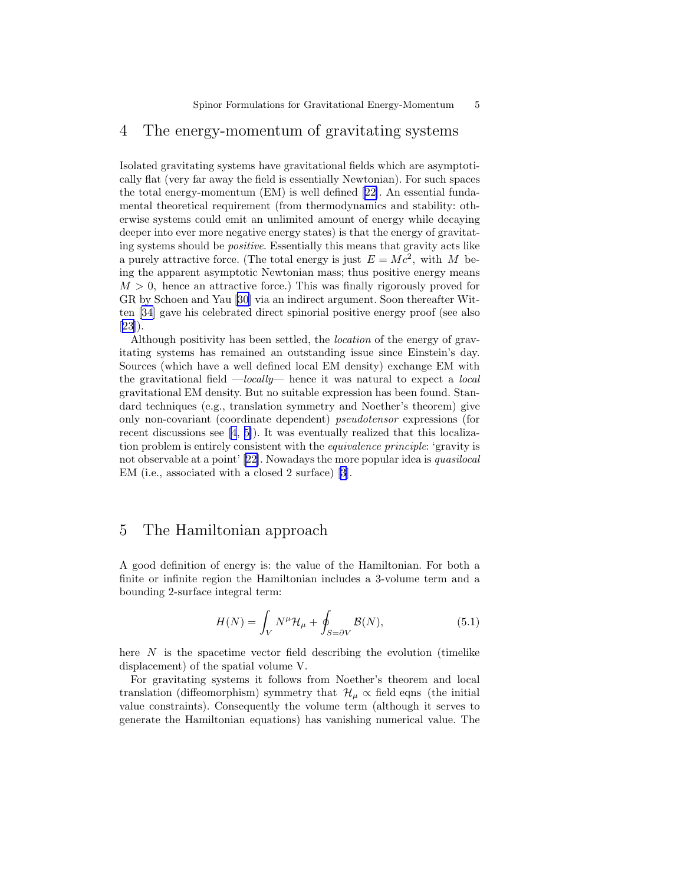### 4 The energy-momentum of gravitating systems

Isolated gravitating systems have gravitational fields which are asymptotically flat (very far away the field is essentially Newtonian). For such spaces the total energy-momentum (EM) is well defined[[22\]](#page-13-0). An essential fundamental theoretical requirement (from thermodynamics and stability: otherwise systems could emit an unlimited amount of energy while decaying deeper into ever more negative energy states) is that the energy of gravitating systems should be positive. Essentially this means that gravity acts like a purely attractive force. (The total energy is just  $E = Mc^2$ , with M being the apparent asymptotic Newtonian mass; thus positive energy means  $M > 0$ , hence an attractive force.) This was finally rigorously proved for GR by Schoen and Yau[[30\]](#page-13-0) via an indirect argument. Soon thereafter Witten[[34\]](#page-13-0) gave his celebrated direct spinorial positive energy proof (see also [[23\]](#page-13-0)).

Although positivity has been settled, the location of the energy of gravitating systems has remained an outstanding issue since Einstein's day. Sources (which have a well defined local EM density) exchange EM with the gravitational field  $-\text{locally}$ — hence it was natural to expect a local gravitational EM density. But no suitable expression has been found. Standard techniques (e.g., translation symmetry and Noether's theorem) give only non-covariant (coordinate dependent) pseudotensor expressions (for recent discussions see [\[4](#page-12-0), [5\]](#page-12-0)). It was eventually realized that this localization problem is entirely consistent with the equivalence principle: 'gravity is not observable at a point' [\[22](#page-13-0)]. Nowadays the more popular idea is quasilocal EM (i.e., associated with a closed 2 surface) [\[3](#page-12-0)].

## 5 The Hamiltonian approach

A good definition of energy is: the value of the Hamiltonian. For both a finite or infinite region the Hamiltonian includes a 3-volume term and a bounding 2-surface integral term:

$$
H(N) = \int_{V} N^{\mu} \mathcal{H}_{\mu} + \oint_{S=\partial V} \mathcal{B}(N), \tag{5.1}
$$

here  $N$  is the spacetime vector field describing the evolution (timelike displacement) of the spatial volume V.

For gravitating systems it follows from Noether's theorem and local translation (diffeomorphism) symmetry that  $\mathcal{H}_{\mu} \propto$  field eqns (the initial value constraints). Consequently the volume term (although it serves to generate the Hamiltonian equations) has vanishing numerical value. The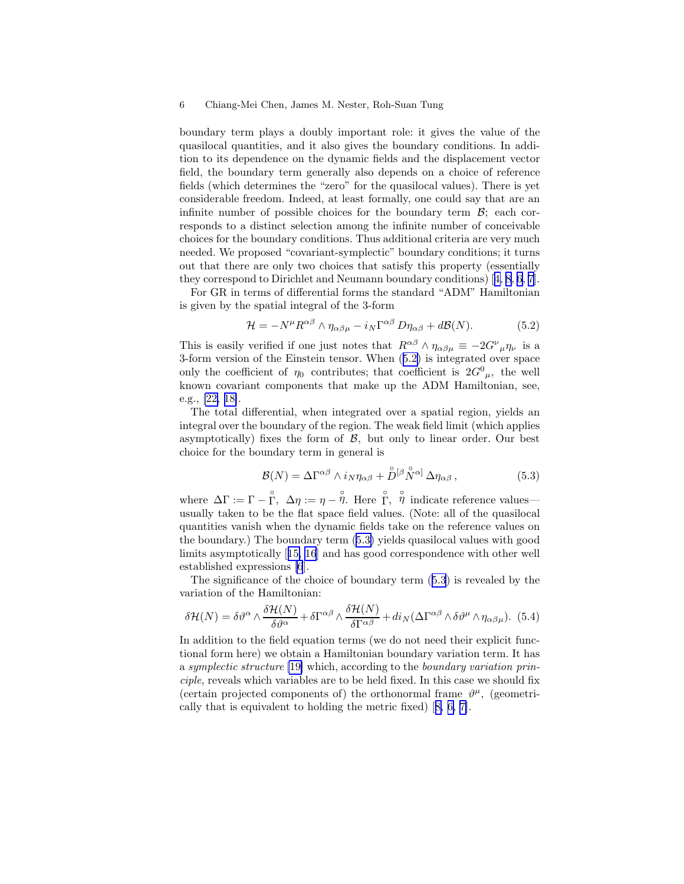<span id="page-5-0"></span>boundary term plays a doubly important role: it gives the value of the quasilocal quantities, and it also gives the boundary conditions. In addition to its dependence on the dynamic fields and the displacement vector field, the boundary term generally also depends on a choice of reference fields (which determines the "zero" for the quasilocal values). There is yet considerable freedom. Indeed, at least formally, one could say that are an infinite number of possible choices for the boundary term  $\mathcal{B}$ ; each corresponds to a distinct selection among the infinite number of conceivable choices for the boundary conditions. Thus additional criteria are very much needed. We proposed "covariant-symplectic" boundary conditions; it turns out that there are only two choices that satisfy this property (essentially they correspond to Dirichlet and Neumann boundary conditions)[[4,](#page-12-0) [8, 6, 7\]](#page-12-0).

For GR in terms of differential forms the standard "ADM" Hamiltonian is given by the spatial integral of the 3-form

$$
\mathcal{H} = -N^{\mu} R^{\alpha\beta} \wedge \eta_{\alpha\beta\mu} - i_N \Gamma^{\alpha\beta} D\eta_{\alpha\beta} + d\mathcal{B}(N). \tag{5.2}
$$

This is easily verified if one just notes that  $R^{\alpha\beta} \wedge \eta_{\alpha\beta\mu} \equiv -2G^{\nu}{}_{\mu}\eta_{\nu}$  is a 3-form version of the Einstein tensor. When (5.2) is integrated over space only the coefficient of  $\eta_0$  contributes; that coefficient is  $2G^0_{\mu}$ , the well known covariant components that make up the ADM Hamiltonian, see, e.g., [\[22, 18\]](#page-13-0).

The total differential, when integrated over a spatial region, yields an integral over the boundary of the region. The weak field limit (which applies asymptotically) fixes the form of  $\mathcal{B}$ , but only to linear order. Our best choice for the boundary term in general is

$$
\mathcal{B}(N) = \Delta \Gamma^{\alpha\beta} \wedge i_N \eta_{\alpha\beta} + \mathring{D}^{[\beta} \mathring{N}^{\alpha]} \Delta \eta_{\alpha\beta} , \qquad (5.3)
$$

where  $\Delta\Gamma := \Gamma - \stackrel{\circ}{\Gamma}$ ,  $\Delta\eta := \eta - \stackrel{\circ}{\eta}$ . Here  $\stackrel{\circ}{\Gamma}$ ,  $\stackrel{\circ}{\eta}$  indicate reference values usually taken to be the flat space field values. (Note: all of the quasilocal quantities vanish when the dynamic fields take on the reference values on the boundary.) The boundary term (5.3) yields quasilocal values with good limits asymptotically[[15, 16](#page-12-0)] and has good correspondence with other well established expressions [\[6](#page-12-0)].

The significance of the choice of boundary term (5.3) is revealed by the variation of the Hamiltonian:

$$
\delta \mathcal{H}(N) = \delta \vartheta^{\alpha} \wedge \frac{\delta \mathcal{H}(N)}{\delta \vartheta^{\alpha}} + \delta \Gamma^{\alpha \beta} \wedge \frac{\delta \mathcal{H}(N)}{\delta \Gamma^{\alpha \beta}} + \operatorname{di}_{N} (\Delta \Gamma^{\alpha \beta} \wedge \delta \vartheta^{\mu} \wedge \eta_{\alpha \beta \mu}). \tag{5.4}
$$

In addition to the field equation terms (we do not need their explicit functional form here) we obtain a Hamiltonian boundary variation term. It has a symplectic structure [\[19\]](#page-13-0) which, according to the boundary variation principle, reveals which variables are to be held fixed. In this case we should fix (certain projected components of) the orthonormal frame  $\vartheta^{\mu}$ , (geometrically that is equivalent to holding the metric fixed)[[8, 6, 7\]](#page-12-0).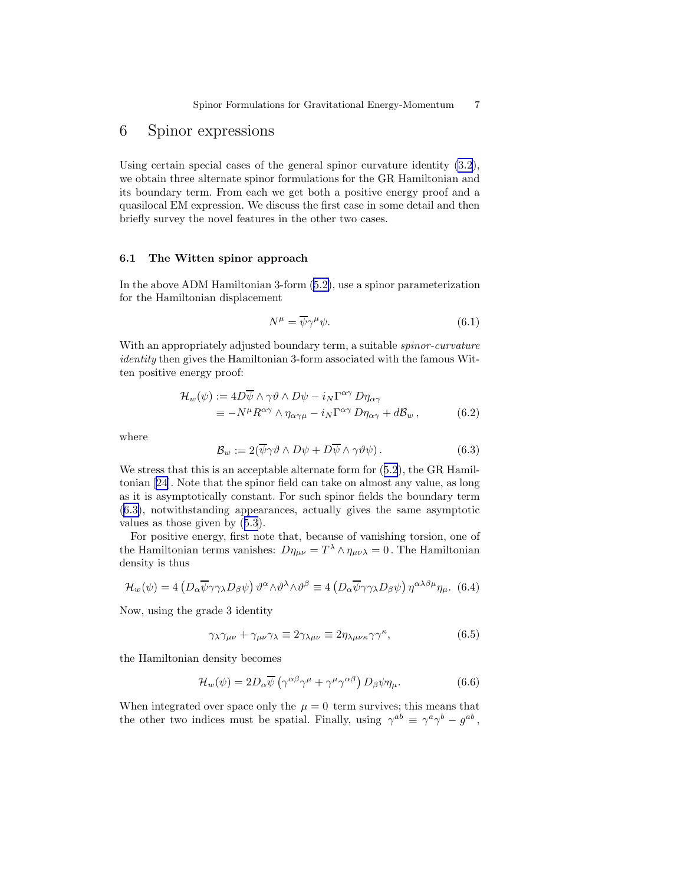# <span id="page-6-0"></span>6 Spinor expressions

Using certain special cases of the general spinor curvature identity [\(3.2](#page-3-0)), we obtain three alternate spinor formulations for the GR Hamiltonian and its boundary term. From each we get both a positive energy proof and a quasilocal EM expression. We discuss the first case in some detail and then briefly survey the novel features in the other two cases.

#### 6.1 The Witten spinor approach

In the above ADM Hamiltonian 3-form([5.2\)](#page-5-0), use a spinor parameterization for the Hamiltonian displacement

$$
N^{\mu} = \overline{\psi}\gamma^{\mu}\psi. \tag{6.1}
$$

With an appropriately adjusted boundary term, a suitable *spinor-curvature* identity then gives the Hamiltonian 3-form associated with the famous Witten positive energy proof:

$$
\mathcal{H}_w(\psi) := 4D\overline{\psi} \wedge \gamma \vartheta \wedge D\psi - i_N \Gamma^{\alpha \gamma} D\eta_{\alpha \gamma} \n\equiv -N^{\mu} R^{\alpha \gamma} \wedge \eta_{\alpha \gamma \mu} - i_N \Gamma^{\alpha \gamma} D\eta_{\alpha \gamma} + d\mathcal{B}_w, \qquad (6.2)
$$

where

$$
\mathcal{B}_w := 2(\overline{\psi}\gamma\vartheta \wedge D\psi + D\overline{\psi} \wedge \gamma\vartheta\psi).
$$
 (6.3)

Westress that this is an acceptable alternate form for  $(5.2)$  $(5.2)$  $(5.2)$ , the GR Hamiltonian [\[24\]](#page-13-0). Note that the spinor field can take on almost any value, as long as it is asymptotically constant. For such spinor fields the boundary term (6.3), notwithstanding appearances, actually gives the same asymptotic values as those given by([5.3](#page-5-0)).

For positive energy, first note that, because of vanishing torsion, one of the Hamiltonian terms vanishes:  $D\eta_{\mu\nu} = T^{\lambda} \wedge \eta_{\mu\nu\lambda} = 0$ . The Hamiltonian density is thus

$$
\mathcal{H}_w(\psi) = 4 \left( D_\alpha \overline{\psi} \gamma \gamma_\lambda D_\beta \psi \right) \vartheta^\alpha \wedge \vartheta^\lambda \wedge \vartheta^\beta \equiv 4 \left( D_\alpha \overline{\psi} \gamma \gamma_\lambda D_\beta \psi \right) \eta^{\alpha \lambda \beta \mu} \eta_\mu. \tag{6.4}
$$

Now, using the grade 3 identity

$$
\gamma_{\lambda}\gamma_{\mu\nu} + \gamma_{\mu\nu}\gamma_{\lambda} \equiv 2\gamma_{\lambda\mu\nu} \equiv 2\eta_{\lambda\mu\nu\kappa}\gamma\gamma^{\kappa}, \tag{6.5}
$$

the Hamiltonian density becomes

$$
\mathcal{H}_w(\psi) = 2D_\alpha \overline{\psi} \left( \gamma^{\alpha\beta} \gamma^\mu + \gamma^\mu \gamma^{\alpha\beta} \right) D_\beta \psi \eta_\mu. \tag{6.6}
$$

When integrated over space only the  $\mu = 0$  term survives; this means that the other two indices must be spatial. Finally, using  $\gamma^{ab} \equiv \gamma^a \gamma^b - g^{ab}$ ,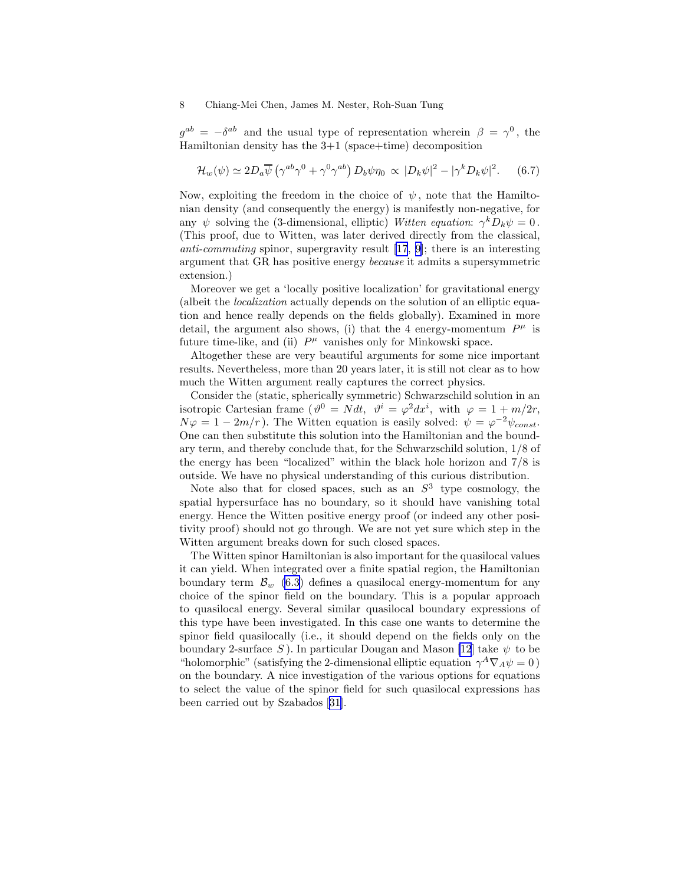$g^{ab} = -\delta^{ab}$  and the usual type of representation wherein  $\beta = \gamma^0$ , the Hamiltonian density has the 3+1 (space+time) decomposition

$$
\mathcal{H}_w(\psi) \simeq 2D_a \overline{\psi} \left( \gamma^{ab} \gamma^0 + \gamma^0 \gamma^{ab} \right) D_b \psi \eta_0 \propto |D_k \psi|^2 - |\gamma^k D_k \psi|^2. \tag{6.7}
$$

Now, exploiting the freedom in the choice of  $\psi$ , note that the Hamiltonian density (and consequently the energy) is manifestly non-negative, for any  $\psi$  solving the (3-dimensional, elliptic) Witten equation:  $\gamma^k D_k \psi = 0$ . (This proof, due to Witten, was later derived directly from the classical, anti-commuting spinor, supergravity result [\[17](#page-12-0), [9\]](#page-12-0); there is an interesting argument that GR has positive energy because it admits a supersymmetric extension.)

Moreover we get a 'locally positive localization' for gravitational energy (albeit the localization actually depends on the solution of an elliptic equation and hence really depends on the fields globally). Examined in more detail, the argument also shows, (i) that the 4 energy-momentum  $P^{\mu}$  is future time-like, and (ii)  $P^{\mu}$  vanishes only for Minkowski space.

Altogether these are very beautiful arguments for some nice important results. Nevertheless, more than 20 years later, it is still not clear as to how much the Witten argument really captures the correct physics.

Consider the (static, spherically symmetric) Schwarzschild solution in an isotropic Cartesian frame  $(\vartheta^0 = N dt, \ \vartheta^i = \varphi^2 dx^i$ , with  $\varphi = 1 + m/2r$ ,  $N\varphi = 1 - 2m/r$ ). The Witten equation is easily solved:  $\psi = \varphi^{-2}\psi_{const}$ . One can then substitute this solution into the Hamiltonian and the boundary term, and thereby conclude that, for the Schwarzschild solution, 1/8 of the energy has been "localized" within the black hole horizon and 7/8 is outside. We have no physical understanding of this curious distribution.

Note also that for closed spaces, such as an  $S^3$  type cosmology, the spatial hypersurface has no boundary, so it should have vanishing total energy. Hence the Witten positive energy proof (or indeed any other positivity proof) should not go through. We are not yet sure which step in the Witten argument breaks down for such closed spaces.

The Witten spinor Hamiltonian is also important for the quasilocal values it can yield. When integrated over a finite spatial region, the Hamiltonian boundary term  $\mathcal{B}_{w}$  [\(6.3](#page-6-0)) defines a quasilocal energy-momentum for any choice of the spinor field on the boundary. This is a popular approach to quasilocal energy. Several similar quasilocal boundary expressions of this type have been investigated. In this case one wants to determine the spinor field quasilocally (i.e., it should depend on the fields only on the boundary 2-surface S). In particular Dougan and Mason [\[12](#page-12-0)] take  $\psi$  to be "holomorphic" (satisfying the 2-dimensional elliptic equation  $\gamma^A \nabla_A \psi = 0$ ) on the boundary. A nice investigation of the various options for equations to select the value of the spinor field for such quasilocal expressions has been carried out by Szabados[[31\]](#page-13-0).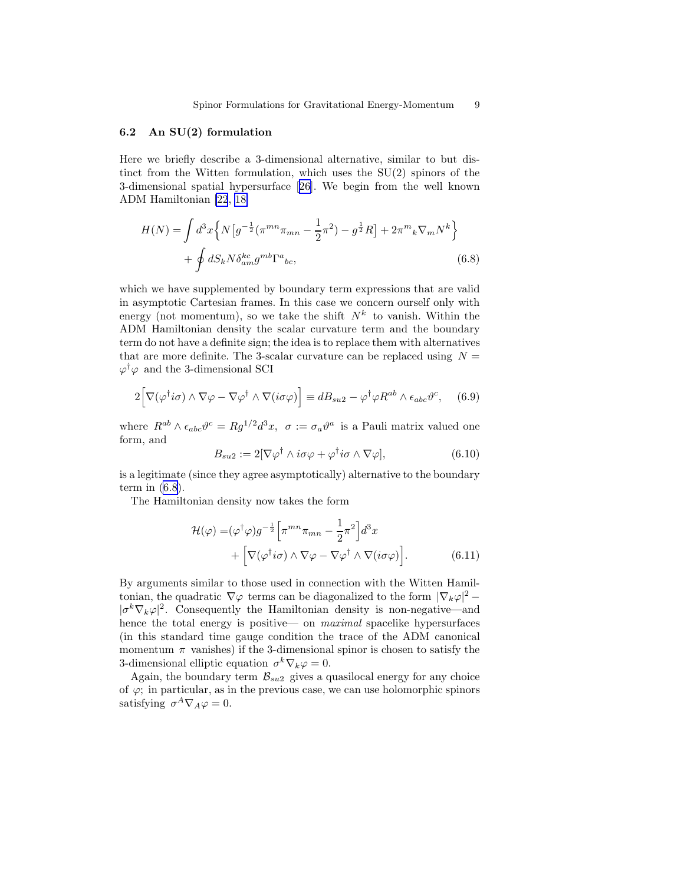#### <span id="page-8-0"></span>6.2 An SU(2) formulation

Here we briefly describe a 3-dimensional alternative, similar to but distinct from the Witten formulation, which uses the SU(2) spinors of the 3-dimensional spatial hypersurface[[26\]](#page-13-0). We begin from the well known ADM Hamiltonian [\[22](#page-13-0), [18\]](#page-13-0)

$$
H(N) = \int d^3x \left\{ N \left[ g^{-\frac{1}{2}} (\pi^{mn} \pi_{mn} - \frac{1}{2} \pi^2) - g^{\frac{1}{2}} R \right] + 2 \pi^m{}_k \nabla_m N^k \right\} + \oint dS_k N \delta^{kc}_{am} g^{mb} \Gamma^a{}_{bc},
$$
\n(6.8)

which we have supplemented by boundary term expressions that are valid in asymptotic Cartesian frames. In this case we concern ourself only with energy (not momentum), so we take the shift  $N^k$  to vanish. Within the ADM Hamiltonian density the scalar curvature term and the boundary term do not have a definite sign; the idea is to replace them with alternatives that are more definite. The 3-scalar curvature can be replaced using  $N =$  $\varphi^{\dagger} \varphi$  and the 3-dimensional SCI

$$
2\Big[\nabla(\varphi^{\dagger}i\sigma) \wedge \nabla \varphi - \nabla \varphi^{\dagger} \wedge \nabla(i\sigma \varphi)\Big] \equiv dB_{su2} - \varphi^{\dagger} \varphi R^{ab} \wedge \epsilon_{abc} \vartheta^{c}, \quad (6.9)
$$

where  $R^{ab} \wedge \epsilon_{abc} \vartheta^c = Rg^{1/2} d^3x$ ,  $\sigma := \sigma_a \vartheta^a$  is a Pauli matrix valued one form, and

$$
B_{su2} := 2[\nabla \varphi^{\dagger} \wedge i\sigma \varphi + \varphi^{\dagger} i\sigma \wedge \nabla \varphi], \tag{6.10}
$$

is a legitimate (since they agree asymptotically) alternative to the boundary term in  $(6.8)$ .

The Hamiltonian density now takes the form

$$
\mathcal{H}(\varphi) = (\varphi^{\dagger} \varphi) g^{-\frac{1}{2}} \Big[ \pi^{mn} \pi_{mn} - \frac{1}{2} \pi^2 \Big] d^3 x \n+ \Big[ \nabla (\varphi^{\dagger} i \sigma) \wedge \nabla \varphi - \nabla \varphi^{\dagger} \wedge \nabla (i \sigma \varphi) \Big].
$$
\n(6.11)

By arguments similar to those used in connection with the Witten Hamiltonian, the quadratic  $\nabla \varphi$  terms can be diagonalized to the form  $|\nabla_k \varphi|^2$  –  $|\sigma^k \nabla_k \varphi|^2$ . Consequently the Hamiltonian density is non-negative—and hence the total energy is positive— on *maximal* spacelike hypersurfaces (in this standard time gauge condition the trace of the ADM canonical momentum  $\pi$  vanishes) if the 3-dimensional spinor is chosen to satisfy the 3-dimensional elliptic equation  $\sigma^k \nabla_k \varphi = 0$ .

Again, the boundary term  $\mathcal{B}_{su2}$  gives a quasilocal energy for any choice of  $\varphi$ ; in particular, as in the previous case, we can use holomorphic spinors satisfying  $\sigma^A \nabla_A \varphi = 0$ .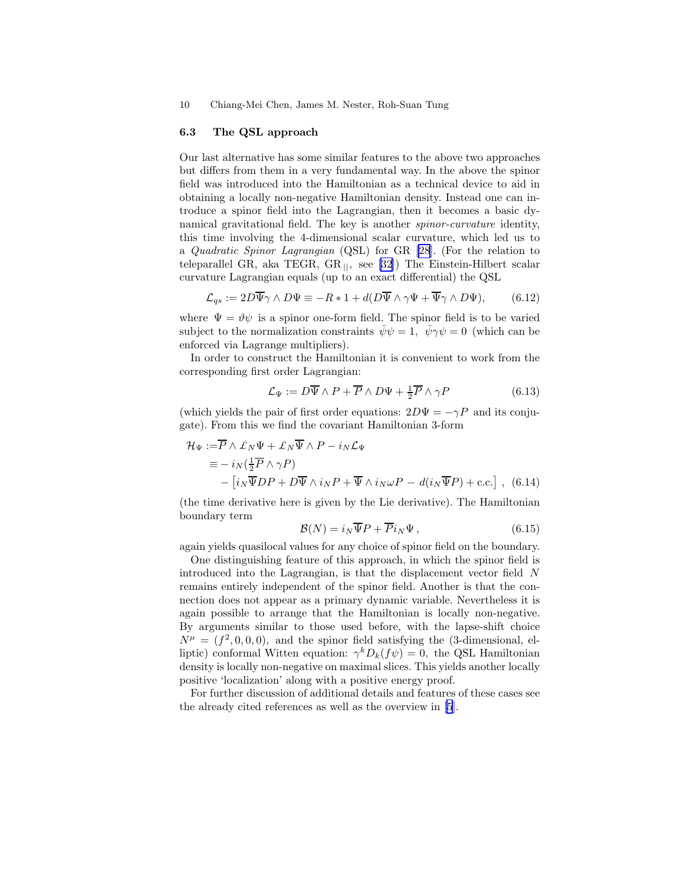#### <span id="page-9-0"></span>6.3 The QSL approach

Our last alternative has some similar features to the above two approaches but differs from them in a very fundamental way. In the above the spinor field was introduced into the Hamiltonian as a technical device to aid in obtaining a locally non-negative Hamiltonian density. Instead one can introduce a spinor field into the Lagrangian, then it becomes a basic dynamical gravitational field. The key is another spinor-curvature identity, this time involving the 4-dimensional scalar curvature, which led us to a Quadratic Spinor Lagrangian (QSL) for GR [\[28](#page-13-0)]. (For the relation to teleparallel GR, aka TEGR, GR $||$ , see [\[32](#page-13-0)]) The Einstein-Hilbert scalar curvature Lagrangian equals (up to an exact differential) the QSL

$$
\mathcal{L}_{qs} := 2D\overline{\Psi}\gamma \wedge D\Psi \equiv -R \ast 1 + d(D\overline{\Psi} \wedge \gamma \Psi + \overline{\Psi}\gamma \wedge D\Psi), \qquad (6.12)
$$

where  $\Psi = \vartheta \psi$  is a spinor one-form field. The spinor field is to be varied subject to the normalization constraints  $\bar{\psi}\psi = 1$ ,  $\bar{\psi}\gamma\psi = 0$  (which can be enforced via Lagrange multipliers).

In order to construct the Hamiltonian it is convenient to work from the corresponding first order Lagrangian:

$$
\mathcal{L}_{\Psi} := D\overline{\Psi} \wedge P + \overline{P} \wedge D\Psi + \frac{1}{2}\overline{P} \wedge \gamma P \tag{6.13}
$$

(which yields the pair of first order equations:  $2D\Psi = -\gamma P$  and its conjugate). From this we find the covariant Hamiltonian 3-form

$$
\mathcal{H}_{\Psi} := \overline{P} \wedge \mathcal{L}_{N} \Psi + \mathcal{L}_{N} \overline{\Psi} \wedge P - i_{N} \mathcal{L}_{\Psi}
$$
  
\n
$$
\equiv -i_{N} (\frac{1}{2} \overline{P} \wedge \gamma P)
$$
  
\n
$$
- [i_{N} \overline{\Psi} DP + D \overline{\Psi} \wedge i_{N} P + \overline{\Psi} \wedge i_{N} \omega P - d(i_{N} \overline{\Psi} P) + \text{c.c.}],
$$
 (6.14)

(the time derivative here is given by the Lie derivative). The Hamiltonian boundary term

$$
\mathcal{B}(N) = i_N \overline{\Psi} P + \overline{P} i_N \Psi , \qquad (6.15)
$$

again yields quasilocal values for any choice of spinor field on the boundary.

One distinguishing feature of this approach, in which the spinor field is introduced into the Lagrangian, is that the displacement vector field N remains entirely independent of the spinor field. Another is that the connection does not appear as a primary dynamic variable. Nevertheless it is again possible to arrange that the Hamiltonian is locally non-negative. By arguments similar to those used before, with the lapse-shift choice  $N^{\mu} = (f^2, 0, 0, 0)$ , and the spinor field satisfying the (3-dimensional, elliptic) conformal Witten equation:  $\gamma^k D_k(f\psi) = 0$ , the QSL Hamiltonian density is locally non-negative on maximal slices. This yields another locally positive 'localization' along with a positive energy proof.

For further discussion of additional details and features of these cases see the already cited references as well as the overview in [\[5](#page-12-0)].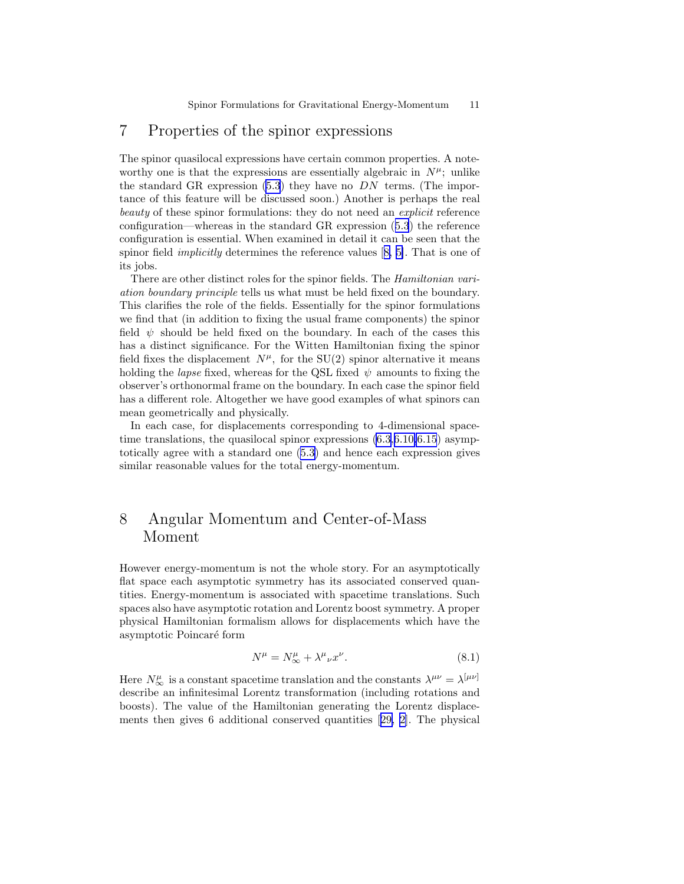# <span id="page-10-0"></span>7 Properties of the spinor expressions

The spinor quasilocal expressions have certain common properties. A noteworthy one is that the expressions are essentially algebraic in  $N^{\mu}$ ; unlike the standard GR expression  $(5.3)$  they have no  $DN$  terms. (The importance of this feature will be discussed soon.) Another is perhaps the real beauty of these spinor formulations: they do not need an *explicit* reference configuration—whereas in the standard GR expression([5.3](#page-5-0)) the reference configuration is essential. When examined in detail it can be seen that the spinor field implicitly determines the reference values[[8, 5\]](#page-12-0). That is one of its jobs.

There are other distinct roles for the spinor fields. The Hamiltonian variation boundary principle tells us what must be held fixed on the boundary. This clarifies the role of the fields. Essentially for the spinor formulations we find that (in addition to fixing the usual frame components) the spinor field  $\psi$  should be held fixed on the boundary. In each of the cases this has a distinct significance. For the Witten Hamiltonian fixing the spinor field fixes the displacement  $N^{\mu}$ , for the SU(2) spinor alternative it means holding the *lapse* fixed, whereas for the QSL fixed  $\psi$  amounts to fixing the observer's orthonormal frame on the boundary. In each case the spinor field has a different role. Altogether we have good examples of what spinors can mean geometrically and physically.

In each case, for displacements corresponding to 4-dimensional spacetime translations, the quasilocal spinor expressions  $(6.3, 6.10, 6.15)$  $(6.3, 6.10, 6.15)$  $(6.3, 6.10, 6.15)$  asymptotically agree with a standard one [\(5.3\)](#page-5-0) and hence each expression gives similar reasonable values for the total energy-momentum.

# 8 Angular Momentum and Center-of-Mass Moment

However energy-momentum is not the whole story. For an asymptotically flat space each asymptotic symmetry has its associated conserved quantities. Energy-momentum is associated with spacetime translations. Such spaces also have asymptotic rotation and Lorentz boost symmetry. A proper physical Hamiltonian formalism allows for displacements which have the asymptotic Poincaré form

$$
N^{\mu} = N^{\mu}_{\infty} + \lambda^{\mu}{}_{\nu} x^{\nu}.
$$
\n(8.1)

Here  $N^{\mu}_{\infty}$  is a constant spacetime translation and the constants  $\lambda^{\mu\nu} = \lambda^{[\mu\nu]}$ describe an infinitesimal Lorentz transformation (including rotations and boosts). The value of the Hamiltonian generating the Lorentz displacements then gives 6 additional conserved quantities[[29,](#page-13-0) [2\]](#page-12-0). The physical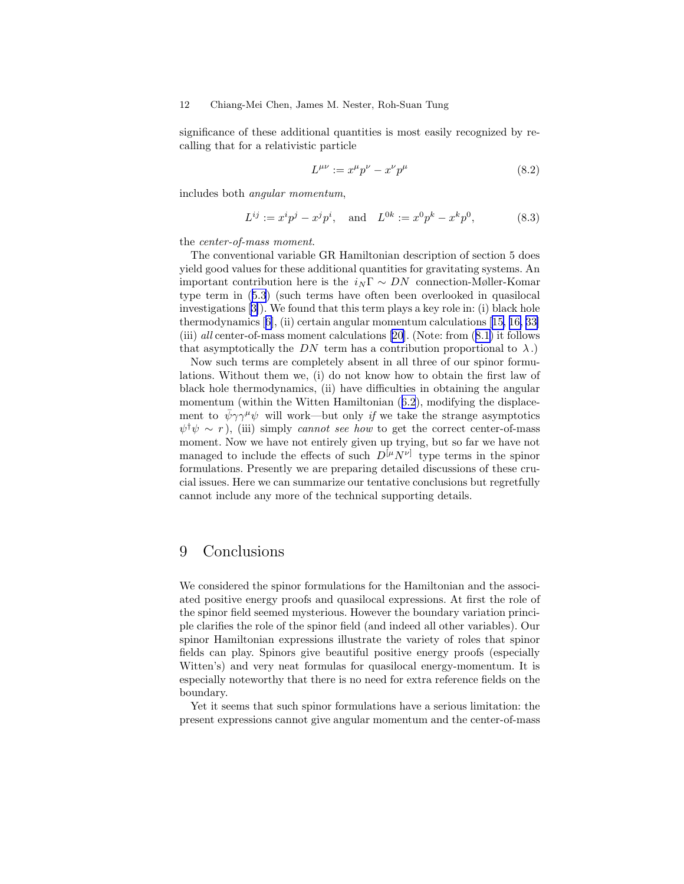significance of these additional quantities is most easily recognized by recalling that for a relativistic particle

$$
L^{\mu\nu} := x^{\mu}p^{\nu} - x^{\nu}p^{\mu} \tag{8.2}
$$

includes both angular momentum,

$$
L^{ij} := x^i p^j - x^j p^i, \text{ and } L^{0k} := x^0 p^k - x^k p^0,
$$
 (8.3)

the center-of-mass moment.

The conventional variable GR Hamiltonian description of section 5 does yield good values for these additional quantities for gravitating systems. An important contribution here is the  $i_N \Gamma \sim DN$  connection-Møller-Komar type term in([5.3](#page-5-0)) (such terms have often been overlooked in quasilocal investigations[[3\]](#page-12-0)). We found that this term plays a key role in: (i) black hole thermodynamics[[6\]](#page-12-0), (ii) certain angular momentum calculations[[15, 16,](#page-12-0) [33\]](#page-13-0) (iii)all center-of-mass moment calculations  $[20]$ . (Note: from  $(8.1)$  $(8.1)$ ) it follows that asymptotically the DN term has a contribution proportional to  $\lambda$ .)

Now such terms are completely absent in all three of our spinor formulations. Without them we, (i) do not know how to obtain the first law of black hole thermodynamics, (ii) have difficulties in obtaining the angular momentum(within the Witten Hamiltonian  $(6.2)$  $(6.2)$  $(6.2)$ , modifying the displacement to  $\psi \gamma \gamma^{\mu} \psi$  will work—but only if we take the strange asymptotics  $\psi^{\dagger} \psi \sim r$ ), (iii) simply cannot see how to get the correct center-of-mass moment. Now we have not entirely given up trying, but so far we have not managed to include the effects of such  $D^{[\mu}N^{\nu]}$  type terms in the spinor formulations. Presently we are preparing detailed discussions of these crucial issues. Here we can summarize our tentative conclusions but regretfully cannot include any more of the technical supporting details.

### 9 Conclusions

We considered the spinor formulations for the Hamiltonian and the associated positive energy proofs and quasilocal expressions. At first the role of the spinor field seemed mysterious. However the boundary variation principle clarifies the role of the spinor field (and indeed all other variables). Our spinor Hamiltonian expressions illustrate the variety of roles that spinor fields can play. Spinors give beautiful positive energy proofs (especially Witten's) and very neat formulas for quasilocal energy-momentum. It is especially noteworthy that there is no need for extra reference fields on the boundary.

Yet it seems that such spinor formulations have a serious limitation: the present expressions cannot give angular momentum and the center-of-mass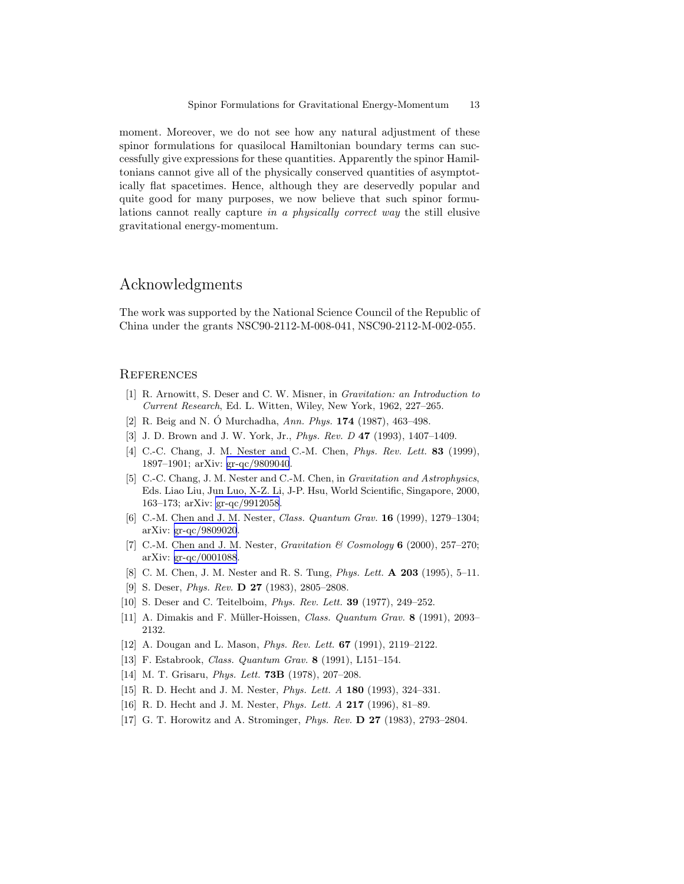<span id="page-12-0"></span>moment. Moreover, we do not see how any natural adjustment of these spinor formulations for quasilocal Hamiltonian boundary terms can successfully give expressions for these quantities. Apparently the spinor Hamiltonians cannot give all of the physically conserved quantities of asymptotically flat spacetimes. Hence, although they are deservedly popular and quite good for many purposes, we now believe that such spinor formulations cannot really capture in a physically correct way the still elusive gravitational energy-momentum.

### Acknowledgments

The work was supported by the National Science Council of the Republic of China under the grants NSC90-2112-M-008-041, NSC90-2112-M-002-055.

#### **REFERENCES**

- [1] R. Arnowitt, S. Deser and C. W. Misner, in *Gravitation: an Introduction to Current Research*, Ed. L. Witten, Wiley, New York, 1962, 227–265.
- [2] R. Beig and N. O´ Murchadha, *Ann. Phys.* <sup>174</sup> (1987), 463–498.
- [3] J. D. Brown and J. W. York, Jr., *Phys. Rev. D* 47 (1993), 1407–1409.
- [4] C.-C. Chang, J. M. Nester and C.-M. Chen, *Phys. Rev. Lett.* 83 (1999), 1897–1901; arXiv: [gr-qc/9809040](http://arxiv.org/abs/gr-qc/9809040).
- [5] C.-C. Chang, J. M. Nester and C.-M. Chen, in *Gravitation and Astrophysics*, Eds. Liao Liu, Jun Luo, X-Z. Li, J-P. Hsu, World Scientific, Singapore, 2000, 163–173; arXiv: [gr-qc/9912058](http://arxiv.org/abs/gr-qc/9912058).
- [6] C.-M. Chen and J. M. Nester, *Class. Quantum Grav.* 16 (1999), 1279–1304; arXiv: [gr-qc/9809020](http://arxiv.org/abs/gr-qc/9809020).
- [7] C.-M. Chen and J. M. Nester, *Gravitation & Cosmology* 6 (2000), 257–270; arXiv: [gr-qc/0001088](http://arxiv.org/abs/gr-qc/0001088).
- [8] C. M. Chen, J. M. Nester and R. S. Tung, *Phys. Lett.* A 203 (1995), 5–11.
- [9] S. Deser, *Phys. Rev.* D 27 (1983), 2805–2808.
- [10] S. Deser and C. Teitelboim, *Phys. Rev. Lett.* 39 (1977), 249–252.
- [11] A. Dimakis and F. Müller-Hoissen, *Class. Quantum Grav.* 8 (1991), 2093– 2132.
- [12] A. Dougan and L. Mason, *Phys. Rev. Lett.* 67 (1991), 2119–2122.
- [13] F. Estabrook, *Class. Quantum Grav.* 8 (1991), L151–154.
- [14] M. T. Grisaru, *Phys. Lett.* 73B (1978), 207–208.
- [15] R. D. Hecht and J. M. Nester, *Phys. Lett. A* 180 (1993), 324–331.
- [16] R. D. Hecht and J. M. Nester, *Phys. Lett. A* 217 (1996), 81–89.
- [17] G. T. Horowitz and A. Strominger, *Phys. Rev.* D 27 (1983), 2793–2804.